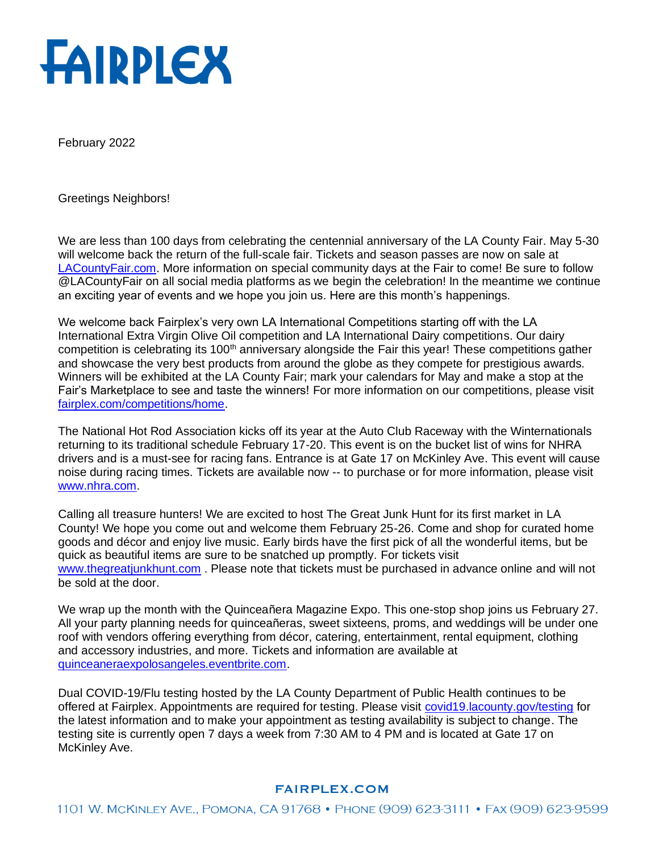

February 2022

Greetings Neighbors!

We are less than 100 days from celebrating the centennial anniversary of the LA County Fair. May 5-30 will welcome back the return of the full-scale fair. Tickets and season passes are now on sale at [LACountyFair.com.](https://www.lacountyfair.com/) More information on special community days at the Fair to come! Be sure to follow @LACountyFair on all social media platforms as we begin the celebration! In the meantime we continue an exciting year of events and we hope you join us. Here are this month's happenings.

We welcome back Fairplex's very own LA International Competitions starting off with the LA International Extra Virgin Olive Oil competition and LA International Dairy competitions. Our dairy competition is celebrating its 100<sup>th</sup> anniversary alongside the Fair this year! These competitions gather and showcase the very best products from around the globe as they compete for prestigious awards. Winners will be exhibited at the LA County Fair; mark your calendars for May and make a stop at the Fair's Marketplace to see and taste the winners! For more information on our competitions, please visit [fairplex.com/competitions/home.](https://fairplex.com/competitions/home)

The National Hot Rod Association kicks off its year at the Auto Club Raceway with the Winternationals returning to its traditional schedule February 17-20. This event is on the bucket list of wins for NHRA drivers and is a must-see for racing fans. Entrance is at Gate 17 on McKinley Ave. This event will cause noise during racing times. Tickets are available now -- to purchase or for more information, please visit [www.nhra.com.](http://www.nhra.com/)

Calling all treasure hunters! We are excited to host The Great Junk Hunt for its first market in LA County! We hope you come out and welcome them February 25-26. Come and shop for curated home goods and décor and enjoy live music. Early birds have the first pick of all the wonderful items, but be quick as beautiful items are sure to be snatched up promptly. For tickets visit [www.thegreatjunkhunt.com](http://www.thegreatjunkhunt.com/) . Please note that tickets must be purchased in advance online and will not be sold at the door.

We wrap up the month with the Quinceañera Magazine Expo. This one-stop shop joins us February 27. All your party planning needs for quinceañeras, sweet sixteens, proms, and weddings will be under one roof with vendors offering everything from décor, catering, entertainment, rental equipment, clothing and accessory industries, and more. Tickets and information are available at [quinceaneraexpolosangeles.eventbrite.com.](https://www.eventbrite.com/e/quinceanera-expo-feb-27th-2022-los-angeles-at-pomona-fairplex-tickets-177599323357)

Dual COVID-19/Flu testing hosted by the LA County Department of Public Health continues to be offered at Fairplex. Appointments are required for testing. Please visit [covid19.lacounty.gov/testing](https://covid19.lacounty.gov/testing/) for the latest information and to make your appointment as testing availability is subject to change. The testing site is currently open 7 days a week from 7:30 AM to 4 PM and is located at Gate 17 on McKinley Ave.

## **FAIRPLEX.COM**